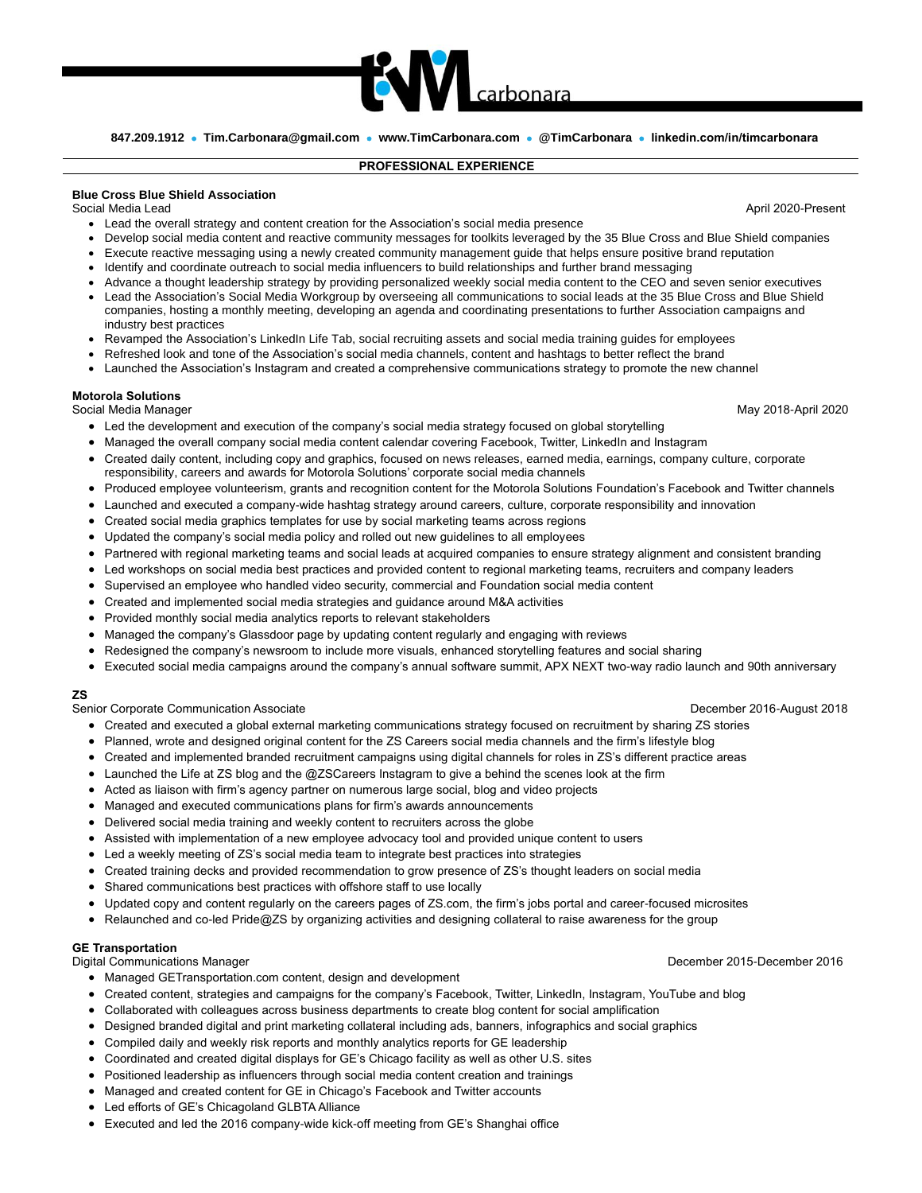

carbonara

## **PROFESSIONAL EXPERIENCE**

## **Blue Cross Blue Shield Association**

Social Media Lead April 2020-Present

- Lead the overall strategy and content creation for the Association's social media presence
- Develop social media content and reactive community messages for toolkits leveraged by the 35 Blue Cross and Blue Shield companies
- Execute reactive messaging using a newly created community management guide that helps ensure positive brand reputation
- Identify and coordinate outreach to social media influencers to build relationships and further brand messaging
- Advance a thought leadership strategy by providing personalized weekly social media content to the CEO and seven senior executives
- Lead the Association's Social Media Workgroup by overseeing all communications to social leads at the 35 Blue Cross and Blue Shield companies, hosting a monthly meeting, developing an agenda and coordinating presentations to further Association campaigns and industry best practices
- Revamped the Association's LinkedIn Life Tab, social recruiting assets and social media training guides for employees
- Refreshed look and tone of the Association's social media channels, content and hashtags to better reflect the brand
- Launched the Association's Instagram and created a comprehensive communications strategy to promote the new channel

## **Motorola Solutions**

Social Media Manager National According to the Social Media May 2018-April 2020

- Led the development and execution of the company's social media strategy focused on global storytelling
- Managed the overall company social media content calendar covering Facebook, Twitter, LinkedIn and Instagram
- Created daily content, including copy and graphics, focused on news releases, earned media, earnings, company culture, corporate responsibility, careers and awards for Motorola Solutions' corporate social media channels
- Produced employee volunteerism, grants and recognition content for the Motorola Solutions Foundation's Facebook and Twitter channels
- Launched and executed a company-wide hashtag strategy around careers, culture, corporate responsibility and innovation
- Created social media graphics templates for use by social marketing teams across regions
- Updated the company's social media policy and rolled out new guidelines to all employees
- Partnered with regional marketing teams and social leads at acquired companies to ensure strategy alignment and consistent branding
- Led workshops on social media best practices and provided content to regional marketing teams, recruiters and company leaders
- Supervised an employee who handled video security, commercial and Foundation social media content
- Created and implemented social media strategies and guidance around M&A activities
- Provided monthly social media analytics reports to relevant stakeholders
- Managed the company's Glassdoor page by updating content regularly and engaging with reviews
- Redesigned the company's newsroom to include more visuals, enhanced storytelling features and social sharing
- Executed social media campaigns around the company's annual software summit, APX NEXT two-way radio launch and 90th anniversary

## **ZS**

Senior Corporate Communication Associate **December 2016-August 2018** December 2016-August 2018

- Created and executed a global external marketing communications strategy focused on recruitment by sharing ZS stories
- Planned, wrote and designed original content for the ZS Careers social media channels and the firm's lifestyle blog
- Created and implemented branded recruitment campaigns using digital channels for roles in ZS's different practice areas
- Launched the Life at ZS blog and the @ZSCareers Instagram to give a behind the scenes look at the firm
- Acted as liaison with firm's agency partner on numerous large social, blog and video projects
- Managed and executed communications plans for firm's awards announcements
- Delivered social media training and weekly content to recruiters across the globe
- Assisted with implementation of a new employee advocacy tool and provided unique content to users
- Led a weekly meeting of ZS's social media team to integrate best practices into strategies
- Created training decks and provided recommendation to grow presence of ZS's thought leaders on social media
- Shared communications best practices with offshore staff to use locally
- Updated copy and content regularly on the careers pages of ZS.com, the firm's jobs portal and career-focused microsites
- Relaunched and co-led Pride@ZS by organizing activities and designing collateral to raise awareness for the group

## **GE Transportation**

- Managed GETransportation.com content, design and development
- Created content, strategies and campaigns for the company's Facebook, Twitter, LinkedIn, Instagram, YouTube and blog
- Collaborated with colleagues across business departments to create blog content for social amplification
- Designed branded digital and print marketing collateral including ads, banners, infographics and social graphics
- Compiled daily and weekly risk reports and monthly analytics reports for GE leadership
- Coordinated and created digital displays for GE's Chicago facility as well as other U.S. sites
- Positioned leadership as influencers through social media content creation and trainings
- Managed and created content for GE in Chicago's Facebook and Twitter accounts
- Led efforts of GE's Chicagoland GLBTA Alliance
- Executed and led the 2016 company-wide kick-off meeting from GE's Shanghai office

Digital Communications Manager December 2015-December 2016